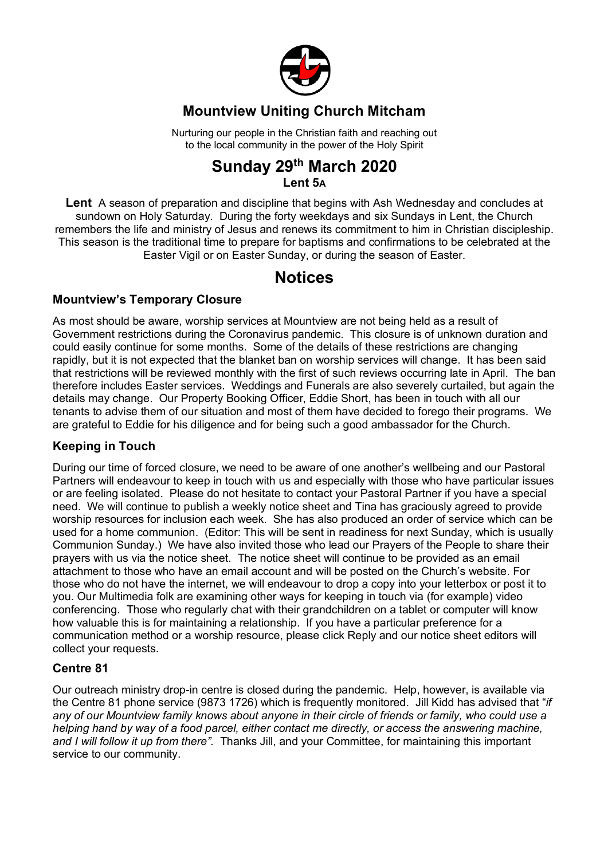

## **Mountview Uniting Church Mitcham**

Nurturing our people in the Christian faith and reaching out to the local community in the power of the Holy Spirit

### **Sunday 29th March 2020 Lent 5A**

**Lent** A season of preparation and discipline that begins with Ash Wednesday and concludes at sundown on Holy Saturday. During the forty weekdays and six Sundays in Lent, the Church remembers the life and ministry of Jesus and renews its commitment to him in Christian discipleship. This season is the traditional time to prepare for baptisms and confirmations to be celebrated at the Easter Vigil or on Easter Sunday, or during the season of Easter.

# **Notices**

### **Mountview's Temporary Closure**

As most should be aware, worship services at Mountview are not being held as a result of Government restrictions during the Coronavirus pandemic. This closure is of unknown duration and could easily continue for some months. Some of the details of these restrictions are changing rapidly, but it is not expected that the blanket ban on worship services will change. It has been said that restrictions will be reviewed monthly with the first of such reviews occurring late in April. The ban therefore includes Easter services. Weddings and Funerals are also severely curtailed, but again the details may change. Our Property Booking Officer, Eddie Short, has been in touch with all our tenants to advise them of our situation and most of them have decided to forego their programs. We are grateful to Eddie for his diligence and for being such a good ambassador for the Church.

### **Keeping in Touch**

During our time of forced closure, we need to be aware of one another's wellbeing and our Pastoral Partners will endeavour to keep in touch with us and especially with those who have particular issues or are feeling isolated. Please do not hesitate to contact your Pastoral Partner if you have a special need. We will continue to publish a weekly notice sheet and Tina has graciously agreed to provide worship resources for inclusion each week. She has also produced an order of service which can be used for a home communion. (Editor: This will be sent in readiness for next Sunday, which is usually Communion Sunday.) We have also invited those who lead our Prayers of the People to share their prayers with us via the notice sheet. The notice sheet will continue to be provided as an email attachment to those who have an email account and will be posted on the Church's website. For those who do not have the internet, we will endeavour to drop a copy into your letterbox or post it to you. Our Multimedia folk are examining other ways for keeping in touch via (for example) video conferencing. Those who regularly chat with their grandchildren on a tablet or computer will know how valuable this is for maintaining a relationship. If you have a particular preference for a communication method or a worship resource, please click Reply and our notice sheet editors will collect your requests.

### **Centre 81**

Our outreach ministry drop-in centre is closed during the pandemic. Help, however, is available via the Centre 81 phone service (9873 1726) which is frequently monitored. Jill Kidd has advised that "*if any of our Mountview family knows about anyone in their circle of friends or family, who could use a helping hand by way of a food parcel, either contact me directly, or access the answering machine, and I will follow it up from there".* Thanks Jill, and your Committee, for maintaining this important service to our community.